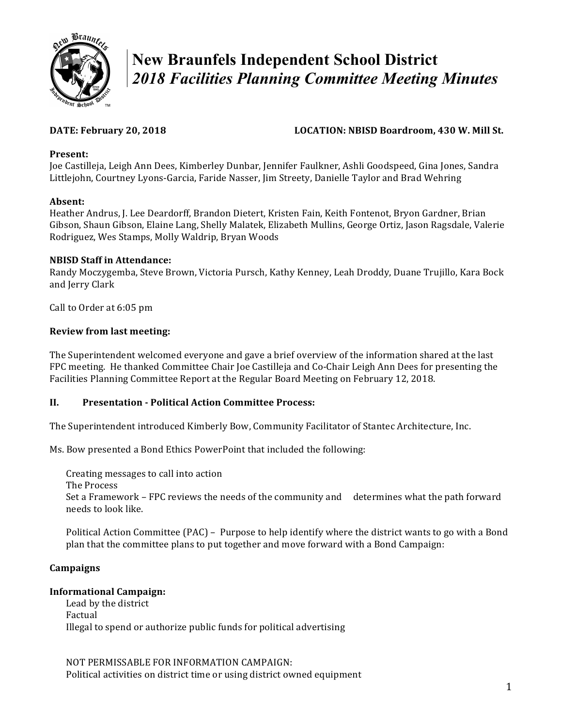

# **New Braunfels Independent School District**  *2018 Facilities Planning Committee Meeting Minutes*

# **DATE: February 20, 2018 LOCATION: NBISD Boardroom, 430 W. Mill St.**

# **Present:**

 Joe Castilleja, Leigh Ann Dees, Kimberley Dunbar, Jennifer Faulkner, Ashli Goodspeed, Gina Jones, Sandra Littlejohn, Courtney Lyons-Garcia, Faride Nasser, Jim Streety, Danielle Taylor and Brad Wehring

# **Absent:**

 Heather Andrus, J. Lee Deardorff, Brandon Dietert, Kristen Fain, Keith Fontenot, Bryon Gardner, Brian Gibson, Shaun Gibson, Elaine Lang, Shelly Malatek, Elizabeth Mullins, George Ortiz, Jason Ragsdale, Valerie Rodriguez, Wes Stamps, Molly Waldrip, Bryan Woods

# **NBISD Staff in Attendance:**

 Randy Moczygemba, Steve Brown, Victoria Pursch, Kathy Kenney, Leah Droddy, Duane Trujillo, Kara Bock and Jerry Clark

 Call to Order at 6:05 pm

# **Review from last meeting:**

The Superintendent welcomed everyone and gave a brief overview of the information shared at the last FPC meeting. He thanked Committee Chair Joe Castilleja and Co-Chair Leigh Ann Dees for presenting the Facilities Planning Committee Report at the Regular Board Meeting on February 12, 2018.

# **II. Presentation - Political Action Committee Process:**

 The Superintendent introduced Kimberly Bow, Community Facilitator of Stantec Architecture, Inc.

 Ms. Bow presented a Bond Ethics PowerPoint that included the following:

 Creating messages to call into action

The Process

Set a Framework – FPC reviews the needs of the community and determines what the path forward needs to look like.

Political Action Committee (PAC) – Purpose to help identify where the district wants to go with a Bond plan that the committee plans to put together and move forward with a Bond Campaign:

# **Campaigns**

#### **Informational Campaign:**

 Illegal to spend or authorize public funds for political advertising Lead by the district Factual

NOT PERMISSABLE FOR INFORMATION CAMPAIGN: Political activities on district time or using district owned equipment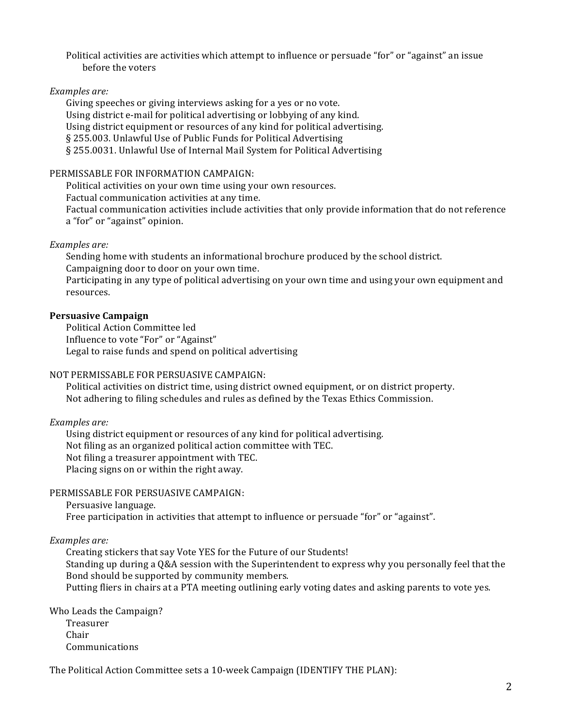Political activities are activities which attempt to influence or persuade "for" or "against" an issue before the voters

# *Examples are:*

 Giving speeches or giving interviews asking for a yes or no vote. Using district e-mail for political advertising or lobbying of any kind. Using district equipment or resources of any kind for political advertising. § 255.003. Unlawful Use of Public Funds for Political Advertising § 255.0031. Unlawful Use of Internal Mail System for Political Advertising

#### PERMISSABLE FOR INFORMATION CAMPAIGN:

Political activities on your own time using your own resources.

Factual communication activities at any time.

Factual communication activities include activities that only provide information that do not reference a "for" or "against" opinion.

# *Examples are:*

Sending home with students an informational brochure produced by the school district. Campaigning door to door on your own time.

Participating in any type of political advertising on your own time and using your own equipment and resources.

# **Persuasive Campaign**

 Influence to vote "For" or "Against" Legal to raise funds and spend on political advertising Political Action Committee led

#### NOT PERMISSABLE FOR PERSUASIVE CAMPAIGN:

Political activities on district time, using district owned equipment, or on district property. Not adhering to filing schedules and rules as defined by the Texas Ethics Commission.

#### *Examples are:*

 Using district equipment or resources of any kind for political advertising. Not filing as an organized political action committee with TEC. Not filing a treasurer appointment with TEC. Placing signs on or within the right away.

# PERMISSABLE FOR PERSUASIVE CAMPAIGN:

Persuasive language.

Free participation in activities that attempt to influence or persuade "for" or "against".

#### *Examples are:*

 Creating stickers that say Vote YES for the Future of our Students! Standing up during a Q&A session with the Superintendent to express why you personally feel that the Bond should be supported by community members. Putting fliers in chairs at a PTA meeting outlining early voting dates and asking parents to vote yes.

 Who Leads the Campaign? Treasurer Chair Communications

The Political Action Committee sets a 10-week Campaign (IDENTIFY THE PLAN):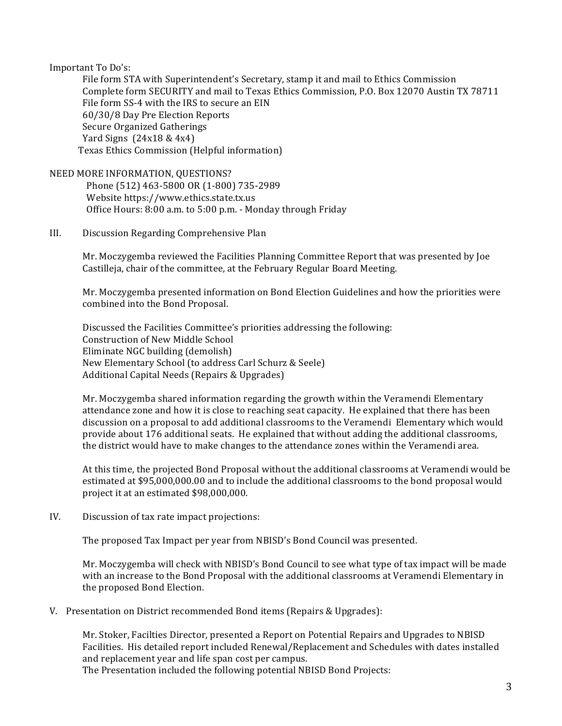#### Important To Do's:

 File form STA with Superintendent's Secretary, stamp it and mail to Ethics Commission Complete form SECURITY and mail to Texas Ethics Commission, P.O. Box 12070 Austin TX 78711 File form SS-4 with the IRS to secure an EIN 60/30/8 Day Pre Election Reports Secure Organized Gatherings Yard Signs (24x18 & 4x4) Texas Ethics Commission (Helpful information)

#### NEED MORE INFORMATION, QUESTIONS?

 Phone (512) 463-5800 OR (1-800) 735-2989 Office Hours: 8:00 a.m. to 5:00 p.m. - Monday through Friday Website https://www.ethics.state.tx.us

#### III. Discussion Regarding Comprehensive Plan

Mr. Moczygemba reviewed the Facilities Planning Committee Report that was presented by Joe Castilleja, chair of the committee, at the February Regular Board Meeting.

 Mr. Moczygemba presented information on Bond Election Guidelines and how the priorities were combined into the Bond Proposal.

 Discussed the Facilities Committee's priorities addressing the following: Construction of New Middle School Eliminate NGC building (demolish) New Elementary School (to address Carl Schurz & Seele) Additional Capital Needs (Repairs & Upgrades)

 Mr. Moczygemba shared information regarding the growth within the Veramendi Elementary attendance zone and how it is close to reaching seat capacity. He explained that there has been discussion on a proposal to add additional classrooms to the Veramendi Elementary which would provide about 176 additional seats. He explained that without adding the additional classrooms, the district would have to make changes to the attendance zones within the Veramendi area.

At this time, the projected Bond Proposal without the additional classrooms at Veramendi would be estimated at \$95,000,000.00 and to include the additional classrooms to the bond proposal would project it at an estimated \$98,000,000.

#### IV. Discussion of tax rate impact projections:

 The proposed Tax Impact per year from NBISD's Bond Council was presented.

 Mr. Moczygemba will check with NBISD's Bond Council to see what type of tax impact will be made with an increase to the Bond Proposal with the additional classrooms at Veramendi Elementary in the proposed Bond Election.

V. Presentation on District recommended Bond items (Repairs & Upgrades):

 Mr. Stoker, Facilties Director, presented a Report on Potential Repairs and Upgrades to NBISD Facilities. His detailed report included Renewal/Replacement and Schedules with dates installed and replacement year and life span cost per campus. The Presentation included the following potential NBISD Bond Projects: